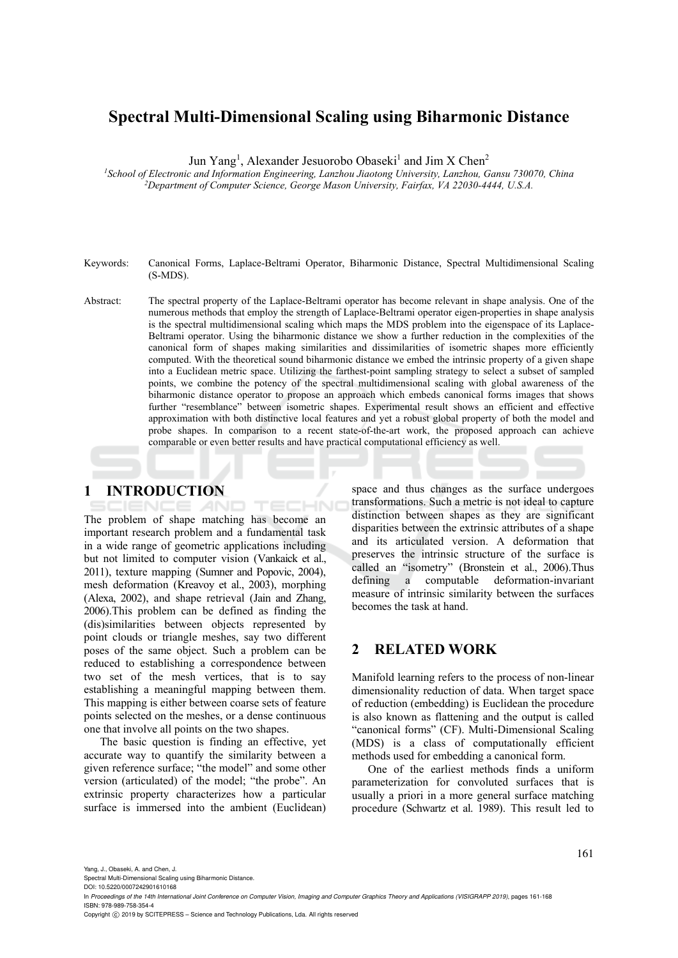# **Spectral Multi-Dimensional Scaling using Biharmonic Distance**

Jun Yang<sup>1</sup>, Alexander Jesuorobo Obaseki<sup>1</sup> and Jim X Chen<sup>2</sup>

*1School of Electronic and Information Engineering, Lanzhou Jiaotong University, Lanzhou, Gansu 730070, China 2 Department of Computer Science, George Mason University, Fairfax, VA 22030-4444, U.S.A.* 

- Keywords: Canonical Forms, Laplace-Beltrami Operator, Biharmonic Distance, Spectral Multidimensional Scaling (S-MDS).
- Abstract: The spectral property of the Laplace-Beltrami operator has become relevant in shape analysis. One of the numerous methods that employ the strength of Laplace-Beltrami operator eigen-properties in shape analysis is the spectral multidimensional scaling which maps the MDS problem into the eigenspace of its Laplace-Beltrami operator. Using the biharmonic distance we show a further reduction in the complexities of the canonical form of shapes making similarities and dissimilarities of isometric shapes more efficiently computed. With the theoretical sound biharmonic distance we embed the intrinsic property of a given shape into a Euclidean metric space. Utilizing the farthest-point sampling strategy to select a subset of sampled points, we combine the potency of the spectral multidimensional scaling with global awareness of the biharmonic distance operator to propose an approach which embeds canonical forms images that shows further "resemblance" between isometric shapes. Experimental result shows an efficient and effective approximation with both distinctive local features and yet a robust global property of both the model and probe shapes. In comparison to a recent state-of-the-art work, the proposed approach can achieve comparable or even better results and have practical computational efficiency as well.

## **1 INTRODUCTION**

CHN AND The problem of shape matching has become an important research problem and a fundamental task in a wide range of geometric applications including but not limited to computer vision (Vankaick et al., 2011), texture mapping (Sumner and Popovic, 2004), mesh deformation (Kreavoy et al., 2003), morphing (Alexa, 2002), and shape retrieval (Jain and Zhang, 2006).This problem can be defined as finding the (dis)similarities between objects represented by point clouds or triangle meshes, say two different poses of the same object. Such a problem can be reduced to establishing a correspondence between two set of the mesh vertices, that is to say establishing a meaningful mapping between them. This mapping is either between coarse sets of feature points selected on the meshes, or a dense continuous one that involve all points on the two shapes.

The basic question is finding an effective, yet accurate way to quantify the similarity between a given reference surface; "the model" and some other version (articulated) of the model; "the probe". An extrinsic property characterizes how a particular surface is immersed into the ambient (Euclidean)

space and thus changes as the surface undergoes transformations. Such a metric is not ideal to capture distinction between shapes as they are significant disparities between the extrinsic attributes of a shape and its articulated version. A deformation that preserves the intrinsic structure of the surface is called an "isometry" (Bronstein et al., 2006).Thus defining a computable deformation-invariant measure of intrinsic similarity between the surfaces becomes the task at hand.

#### **2 RELATED WORK**

Manifold learning refers to the process of non-linear dimensionality reduction of data. When target space of reduction (embedding) is Euclidean the procedure is also known as flattening and the output is called "canonical forms" (CF). Multi-Dimensional Scaling (MDS) is a class of computationally efficient methods used for embedding a canonical form.

One of the earliest methods finds a uniform parameterization for convoluted surfaces that is usually a priori in a more general surface matching procedure (Schwartz et al. 1989). This result led to

Yang, J., Obaseki, A. and Chen, J.

Spectral Multi-Dimensional Scaling using Biharmonic Distance. DOI: 10.5220/0007242901610168

Copyright © 2019 by SCITEPRESS - Science and Technology Publications, Lda. All rights reserved

In *Proceedings of the 14th International Joint Conference on Computer Vision, Imaging and Computer Graphics Theory and Applications (VISIGRAPP 2019)*, pages 161-168 ISBN: 978-989-758-354-4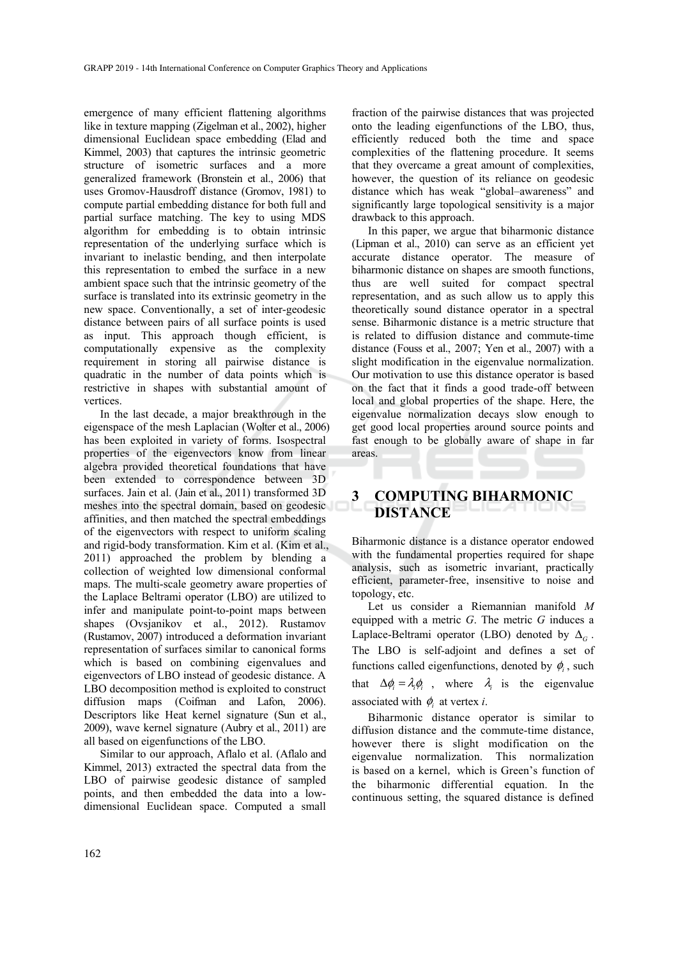emergence of many efficient flattening algorithms like in texture mapping (Zigelman et al., 2002), higher dimensional Euclidean space embedding (Elad and Kimmel, 2003) that captures the intrinsic geometric structure of isometric surfaces and a more generalized framework (Bronstein et al., 2006) that uses Gromov-Hausdroff distance (Gromov, 1981) to compute partial embedding distance for both full and partial surface matching. The key to using MDS algorithm for embedding is to obtain intrinsic representation of the underlying surface which is invariant to inelastic bending, and then interpolate this representation to embed the surface in a new ambient space such that the intrinsic geometry of the surface is translated into its extrinsic geometry in the new space. Conventionally, a set of inter-geodesic distance between pairs of all surface points is used as input. This approach though efficient, is computationally expensive as the complexity requirement in storing all pairwise distance is quadratic in the number of data points which is restrictive in shapes with substantial amount of vertices.

In the last decade, a major breakthrough in the eigenspace of the mesh Laplacian (Wolter et al., 2006) has been exploited in variety of forms. Isospectral properties of the eigenvectors know from linear algebra provided theoretical foundations that have been extended to correspondence between 3D surfaces. Jain et al. (Jain et al., 2011) transformed 3D meshes into the spectral domain, based on geodesic affinities, and then matched the spectral embeddings of the eigenvectors with respect to uniform scaling and rigid-body transformation. Kim et al. (Kim et al., 2011) approached the problem by blending a collection of weighted low dimensional conformal maps. The multi-scale geometry aware properties of the Laplace Beltrami operator (LBO) are utilized to infer and manipulate point-to-point maps between shapes (Ovsjanikov et al., 2012). Rustamov (Rustamov, 2007) introduced a deformation invariant representation of surfaces similar to canonical forms which is based on combining eigenvalues and eigenvectors of LBO instead of geodesic distance. A LBO decomposition method is exploited to construct diffusion maps (Coifman and Lafon, 2006). Descriptors like Heat kernel signature (Sun et al., 2009), wave kernel signature (Aubry et al., 2011) are all based on eigenfunctions of the LBO.

Similar to our approach, Aflalo et al. (Aflalo and Kimmel, 2013) extracted the spectral data from the LBO of pairwise geodesic distance of sampled points, and then embedded the data into a lowdimensional Euclidean space. Computed a small

fraction of the pairwise distances that was projected onto the leading eigenfunctions of the LBO, thus, efficiently reduced both the time and space complexities of the flattening procedure. It seems that they overcame a great amount of complexities, however, the question of its reliance on geodesic distance which has weak "global–awareness" and significantly large topological sensitivity is a major drawback to this approach.

In this paper, we argue that biharmonic distance (Lipman et al., 2010) can serve as an efficient yet accurate distance operator. The measure of biharmonic distance on shapes are smooth functions, thus are well suited for compact spectral representation, and as such allow us to apply this theoretically sound distance operator in a spectral sense. Biharmonic distance is a metric structure that is related to diffusion distance and commute-time distance (Fouss et al., 2007; Yen et al., 2007) with a slight modification in the eigenvalue normalization. Our motivation to use this distance operator is based on the fact that it finds a good trade-off between local and global properties of the shape. Here, the eigenvalue normalization decays slow enough to get good local properties around source points and fast enough to be globally aware of shape in far areas.

# **3 COMPUTING BIHARMONIC DISTANCE**

Biharmonic distance is a distance operator endowed with the fundamental properties required for shape analysis, such as isometric invariant, practically efficient, parameter-free, insensitive to noise and topology, etc.

Let us consider a Riemannian manifold *M*  equipped with a metric *G*. The metric *G* induces a Laplace-Beltrami operator (LBO) denoted by  $\Delta_{G}$ . The LBO is self-adjoint and defines a set of functions called eigenfunctions, denoted by  $\phi$ <sub>i</sub>, such that  $\Delta \phi_i = \lambda_i \phi_i$ , where  $\lambda_i$  is the eigenvalue associated with  $\phi_i$  at vertex *i*.

Biharmonic distance operator is similar to diffusion distance and the commute-time distance, however there is slight modification on the eigenvalue normalization. This normalization is based on a kernel, which is Green's function of the biharmonic differential equation. In the continuous setting, the squared distance is defined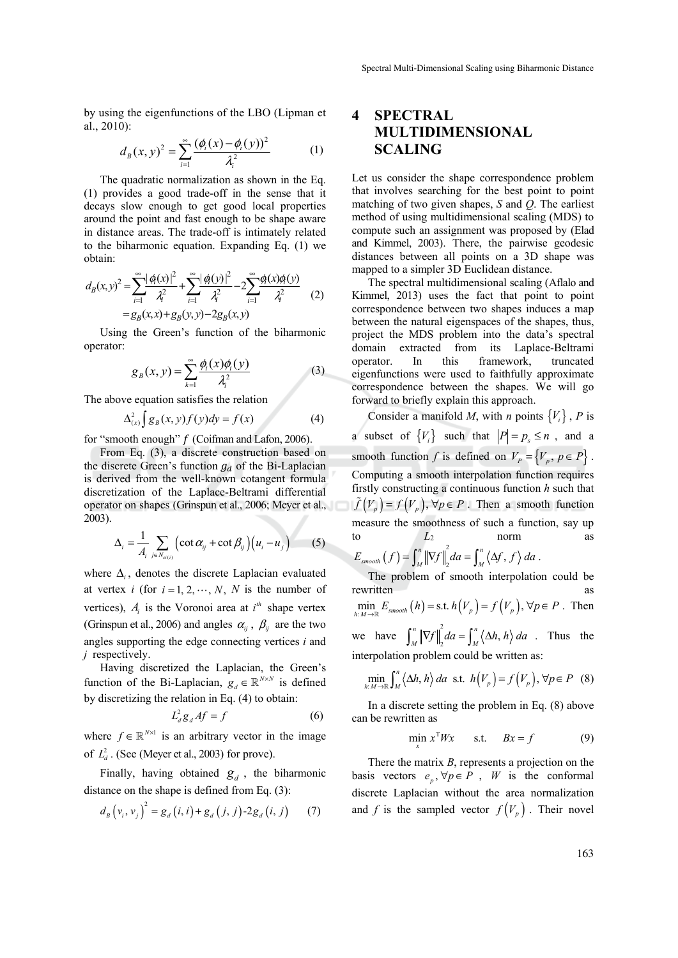by using the eigenfunctions of the LBO (Lipman et al., 2010):

$$
d_B(x, y)^2 = \sum_{i=1}^{\infty} \frac{(\phi_i(x) - \phi_i(y))^2}{\lambda_i^2}
$$
 (1)

The quadratic normalization as shown in the Eq. (1) provides a good trade-off in the sense that it decays slow enough to get good local properties around the point and fast enough to be shape aware in distance areas. The trade-off is intimately related to the biharmonic equation. Expanding Eq. (1) we obtain:

$$
d_B(x, y)^2 = \sum_{i=1}^{\infty} \frac{|\phi_i(x)|^2}{\lambda_i^2} + \sum_{i=1}^{\infty} \frac{|\phi_i(y)|^2}{\lambda_i^2} - 2\sum_{i=1}^{\infty} \frac{\phi_i(x)\phi_i(y)}{\lambda_i^2}
$$
  
=  $g_B(x, x) + g_B(y, y) - 2g_B(x, y)$  (2)

Using the Green's function of the biharmonic operator:

$$
g_B(x, y) = \sum_{k=1}^{\infty} \frac{\phi_i(x)\phi_i(y)}{\lambda_i^2}
$$
 (3)

The above equation satisfies the relation

$$
\Delta_{(x)}^2 \int g_B(x, y) f(y) dy = f(x) \tag{4}
$$

for "smooth enough"  $f$  (Coifman and Lafon, 2006).

From Eq. (3), a discrete construction based on the discrete Green's function  $g_d$  of the Bi-Laplacian is derived from the well-known cotangent formula discretization of the Laplace-Beltrami differential operator on shapes (Grinspun et al., 2006; Meyer et al., 2003).

$$
\Delta_i = \frac{1}{A_i} \sum_{j \in N_{ei(i)}} \left( \cot \alpha_{ij} + \cot \beta_{ij} \right) \left( u_i - u_j \right) \tag{5}
$$

where  $\Delta_i$ , denotes the discrete Laplacian evaluated at vertex *i* (for  $i = 1, 2, \dots, N$ , *N* is the number of vertices),  $A_i$  is the Voronoi area at  $i^h$  shape vertex (Grinspun et al., 2006) and angles  $\alpha_{ij}$ ,  $\beta_{ij}$  are the two angles supporting the edge connecting vertices *i* and *j* respectively.

Having discretized the Laplacian, the Green's function of the Bi-Laplacian,  $g_d \in \mathbb{R}^{N \times N}$  is defined by discretizing the relation in Eq. (4) to obtain:

$$
L_d^2 g_d A f = f \tag{6}
$$

where  $f \in \mathbb{R}^{N \times 1}$  is an arbitrary vector in the image of  $L_d^2$ . (See (Meyer et al., 2003) for prove).

Finally, having obtained  $g_d$ , the biharmonic distance on the shape is defined from Eq. (3):

$$
d_{B} (v_{i}, v_{j})^{2} = g_{d} (i, i) + g_{d} (j, j) - 2g_{d} (i, j) \qquad (7)
$$

# **4 SPECTRAL MULTIDIMENSIONAL SCALING**

Let us consider the shape correspondence problem that involves searching for the best point to point matching of two given shapes, *S* and *Q*. The earliest method of using multidimensional scaling (MDS) to compute such an assignment was proposed by (Elad and Kimmel, 2003). There, the pairwise geodesic distances between all points on a 3D shape was mapped to a simpler 3D Euclidean distance.

The spectral multidimensional scaling (Aflalo and Kimmel, 2013) uses the fact that point to point correspondence between two shapes induces a map between the natural eigenspaces of the shapes, thus, project the MDS problem into the data's spectral domain extracted from its Laplace-Beltrami operator. In this framework, truncated eigenfunctions were used to faithfully approximate correspondence between the shapes. We will go forward to briefly explain this approach.

Consider a manifold *M*, with *n* points  ${V_i}$ , *P* is a subset of  ${V_i}$  such that  $|P| = p_s \le n$ , and a smooth function *f* is defined on  $V_p = \{V_p, p \in P\}$ . Computing a smooth interpolation function requires firstly constructing a continuous function *h* such that  $(\tilde{f}(V_p) = f(V_p), \forall p \in P$ . Then a smooth function measure the smoothness of such a function, say up to  $L_2$  norm as

$$
E_{\textit{smooth}}(f) = \int_M^n \left\| \nabla f \right\|_2^2 da = \int_M^n \left\langle \Delta f, f \right\rangle da.
$$

The problem of smooth interpolation could be rewritten as as  $\min_{h:M\to\mathbb{R}} E_{\text{smooth}}(h) = \text{s.t. } h(V_p) = f(V_p), \forall p \in P$ . Then we have  $\int_M^n \left\| \nabla f \right\|_2^2 da = \int_M^n \left\langle \Delta h, h \right\rangle da$ . Thus the interpolation problem could be written as:

$$
\min_{h:M\to\mathbb{R}} \int_M^n \langle \Delta h, h \rangle \, da \text{ s.t. } h(V_p) = f(V_p), \forall p \in P \quad (8)
$$

In a discrete setting the problem in Eq. (8) above can be rewritten as

$$
\min_{x} x^{T} Wx \qquad \text{s.t.} \qquad Bx = f \tag{9}
$$

There the matrix *B*, represents a projection on the basis vectors  $e_p, \forall p \in P$ , *W* is the conformal discrete Laplacian without the area normalization and *f* is the sampled vector  $f(V_p)$ . Their novel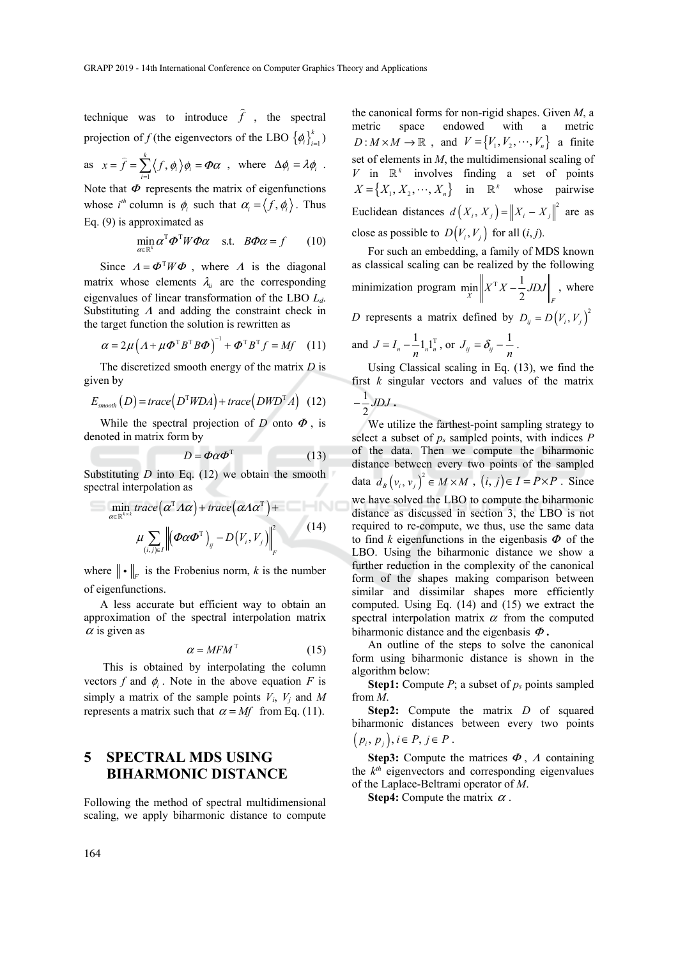technique was to introduce  $\hat{f}$ , the spectral projection of *f* (the eigenvectors of the LBO  $\left\{\phi_i\right\}_{i=1}^k$ )

as 
$$
x = \hat{f} = \sum_{i=1}^{k} \langle f, \phi_i \rangle \phi_i = \Phi \alpha
$$
, where  $\Delta \phi_i = \lambda \phi_i$ .

Note that  $\Phi$  represents the matrix of eigenfunctions whose  $i^{th}$  column is  $\phi_i$  such that  $\alpha_i = \langle f, \phi_i \rangle$ . Thus Eq. (9) is approximated as

$$
\min_{\alpha \in \mathbb{R}^k} \alpha^{\mathrm{T}} \boldsymbol{\Phi}^{\mathrm{T}} W \boldsymbol{\Phi} \alpha \quad \text{s.t.} \quad B \boldsymbol{\Phi} \alpha = f \qquad (10)
$$

Since  $A = \Phi^{T} W \Phi$ , where *A* is the diagonal matrix whose elements  $\lambda_i$  are the corresponding eigenvalues of linear transformation of the LBO *Ld*. Substituting  $\Lambda$  and adding the constraint check in the target function the solution is rewritten as

$$
\alpha = 2\mu \left( A + \mu \boldsymbol{\varPhi}^{\mathrm{T}} B^{\mathrm{T}} B \boldsymbol{\varPhi} \right)^{-1} + \boldsymbol{\varPhi}^{\mathrm{T}} B^{\mathrm{T}} f = Mf \quad (11)
$$

The discretized smooth energy of the matrix *D* is given by

$$
E_{\text{smooth}}(D) = \text{trace}\left(D^{\mathrm{T}} W D A\right) + \text{trace}\left(D W D^{\mathrm{T}} A\right) \tag{12}
$$

While the spectral projection of *D* onto  $\Phi$ , is denoted in matrix form by

$$
D = \Phi \alpha \Phi^{T} \tag{13}
$$

Substituting  $D$  into Eq.  $(12)$  we obtain the smooth spectral interpolation as

$$
= \min_{\alpha \in \mathbb{R}^{k \times k}} trace(\alpha^{T} \Lambda \alpha) + trace(\alpha \Lambda \alpha^{T}) +
$$
  

$$
\mu \sum_{(i,j) \in I} \left\| (\varPhi \alpha \varPhi^{T})_{ij} - D(V_{i}, V_{j}) \right\|_{F}^{2}
$$
(14)

where  $\|\cdot\|_F$  is the Frobenius norm, *k* is the number of eigenfunctions.

A less accurate but efficient way to obtain an approximation of the spectral interpolation matrix  $\alpha$  is given as

$$
\alpha = MFM^{\mathrm{T}} \tag{15}
$$

 This is obtained by interpolating the column vectors *f* and  $\phi$ <sub>*i*</sub>. Note in the above equation *F* is simply a matrix of the sample points  $V_i$ ,  $V_j$  and M represents a matrix such that  $\alpha = Mf$  from Eq. (11).

## **5 SPECTRAL MDS USING BIHARMONIC DISTANCE**

Following the method of spectral multidimensional scaling, we apply biharmonic distance to compute

the canonical forms for non-rigid shapes. Given *M*, a metric space endowed with a metric  $D: M \times M \to \mathbb{R}$ , and  $V = \{V_1, V_2, \dots, V_n\}$  a finite set of elements in *M*, the multidimensional scaling of  $V$  in  $\mathbb{R}^k$  involves finding a set of points  $X = \{X_1, X_2, \dots, X_n\}$  in  $\mathbb{R}^k$  whose pairwise Euclidean distances  $d(X_i, X_j) = ||X_i - X_j||^2$  are as close as possible to  $D(V_i, V_i)$  for all  $(i, j)$ .

For such an embedding, a family of MDS known as classical scaling can be realized by the following minimization program  $\min_{X} \left\| X^{T} X - \frac{1}{2} J D J \right\|_{F}$ , where *D* represents a matrix defined by  $D_{ij} = D(V_i, V_j)^2$ 

$$
D \text{ represents a matrix defined by } D_{ij} - D
$$

and 
$$
J = I_n - \frac{1}{n} \mathbf{1}_n \mathbf{1}_n^T
$$
, or  $J_{ij} = \delta_{ij} - \frac{1}{n}$ .

Using Classical scaling in Eq. (13), we find the first *k* singular vectors and values of the matrix 1

$$
-\frac{1}{2}JDJ.
$$

We utilize the farthest-point sampling strategy to select a subset of *ps* sampled points, with indices *P* of the data. Then we compute the biharmonic distance between every two points of the sampled data  $d_B(v_i, v_j)^2 \in M \times M$ ,  $(i, j) \in I = P \times P$ . Since we have solved the LBO to compute the biharmonic distance as discussed in section 3, the LBO is not required to re-compute, we thus, use the same data to find *k* eigenfunctions in the eigenbasis  $\Phi$  of the LBO. Using the biharmonic distance we show a further reduction in the complexity of the canonical form of the shapes making comparison between similar and dissimilar shapes more efficiently computed. Using Eq. (14) and (15) we extract the spectral interpolation matrix  $\alpha$  from the computed biharmonic distance and the eigenbasis  $\Phi$ .

An outline of the steps to solve the canonical form using biharmonic distance is shown in the algorithm below:

**Step1:** Compute  $P$ ; a subset of  $p_s$  points sampled from *M*.

**Step2:** Compute the matrix *D* of squared biharmonic distances between every two points  $(p_i, p_j), i \in P, j \in P$ .

**Step3:** Compute the matrices  $\Phi$ ,  $\Lambda$  containing the *kth* eigenvectors and corresponding eigenvalues of the Laplace-Beltrami operator of *M*.

**Step4:** Compute the matrix  $\alpha$ .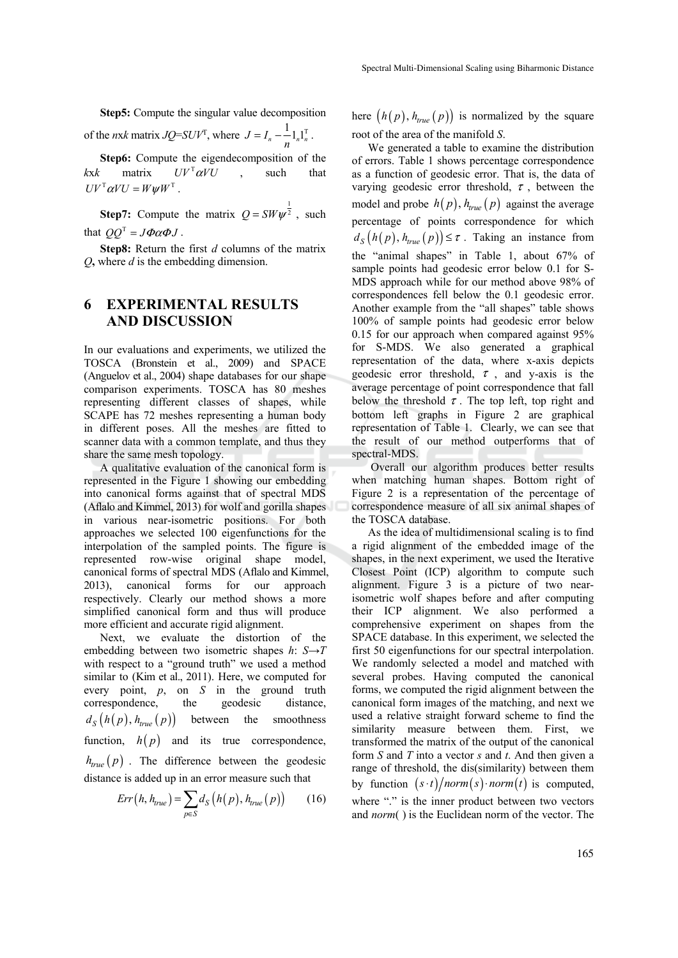**Step5:** Compute the singular value decomposition of the *nxk* matrix *JQ*=*SUV<sup>T</sup>*, where  $J = I_n - \frac{1}{n} 1_n 1_n^T$ .

**Step6:** Compute the eigendecomposition of the *kxk* matrix  $UV^{T} \alpha VU$  , such that  $UV^{T} \alpha VU = W \psi W^{T}$ .

**Step7:** Compute the matrix  $Q = SW\psi^{\frac{1}{2}}$ , such that  $OO^T = J\Phi\alpha\Phi J$ .

**Step8:** Return the first *d* columns of the matrix *Q***,** where *d* is the embedding dimension.

### **6 EXPERIMENTAL RESULTS AND DISCUSSION**

In our evaluations and experiments, we utilized the TOSCA (Bronstein et al., 2009) and SPACE (Anguelov et al., 2004) shape databases for our shape comparison experiments. TOSCA has 80 meshes representing different classes of shapes, while SCAPE has 72 meshes representing a human body in different poses. All the meshes are fitted to scanner data with a common template, and thus they share the same mesh topology.

A qualitative evaluation of the canonical form is represented in the Figure 1 showing our embedding into canonical forms against that of spectral MDS (Aflalo and Kimmel, 2013) for wolf and gorilla shapes in various near-isometric positions. For both approaches we selected 100 eigenfunctions for the interpolation of the sampled points. The figure is represented row-wise original shape model, canonical forms of spectral MDS (Aflalo and Kimmel, 2013), canonical forms for our approach respectively. Clearly our method shows a more simplified canonical form and thus will produce more efficient and accurate rigid alignment.

Next, we evaluate the distortion of the embedding between two isometric shapes *h*: *S*→*T* with respect to a "ground truth" we used a method similar to (Kim et al., 2011). Here, we computed for every point, *p*, on *S* in the ground truth correspondence, the geodesic distance,  $d_S(h(p), h_{true}(p))$  between the smoothness function,  $h(p)$  and its true correspondence,  $h_{true}(p)$ . The difference between the geodesic distance is added up in an error measure such that

$$
Err(h, h_{true}) = \sum_{p \in S} d_S(h(p), h_{true}(p)) \qquad (16)
$$

here  $(h(p), h_{true}(p))$  is normalized by the square root of the area of the manifold *S*.

We generated a table to examine the distribution of errors. Table 1 shows percentage correspondence as a function of geodesic error. That is, the data of varying geodesic error threshold,  $\tau$ , between the model and probe  $h(p)$ ,  $h_{true}(p)$  against the average percentage of points correspondence for which  $d_S(h(p), h_{true}(p)) \leq \tau$ . Taking an instance from the "animal shapes" in Table 1, about 67% of sample points had geodesic error below 0.1 for S-MDS approach while for our method above 98% of correspondences fell below the 0.1 geodesic error. Another example from the "all shapes" table shows 100% of sample points had geodesic error below 0.15 for our approach when compared against 95% for S-MDS. We also generated a graphical representation of the data, where x-axis depicts geodesic error threshold,  $\tau$ , and y-axis is the average percentage of point correspondence that fall below the threshold  $\tau$ . The top left, top right and bottom left graphs in Figure 2 are graphical representation of Table 1. Clearly, we can see that the result of our method outperforms that of spectral-MDS.

 Overall our algorithm produces better results when matching human shapes. Bottom right of Figure 2 is a representation of the percentage of correspondence measure of all six animal shapes of the TOSCA database.

As the idea of multidimensional scaling is to find a rigid alignment of the embedded image of the shapes, in the next experiment, we used the Iterative Closest Point (ICP) algorithm to compute such alignment. Figure 3 is a picture of two nearisometric wolf shapes before and after computing their ICP alignment. We also performed a comprehensive experiment on shapes from the SPACE database. In this experiment, we selected the first 50 eigenfunctions for our spectral interpolation. We randomly selected a model and matched with several probes. Having computed the canonical forms, we computed the rigid alignment between the canonical form images of the matching, and next we used a relative straight forward scheme to find the similarity measure between them. First, we transformed the matrix of the output of the canonical form *S* and *T* into a vector *s* and *t*. And then given a range of threshold, the dis(similarity) between them by function  $(s \cdot t) / norm(s) \cdot norm(t)$  is computed, where "." is the inner product between two vectors and *norm*( ) is the Euclidean norm of the vector. The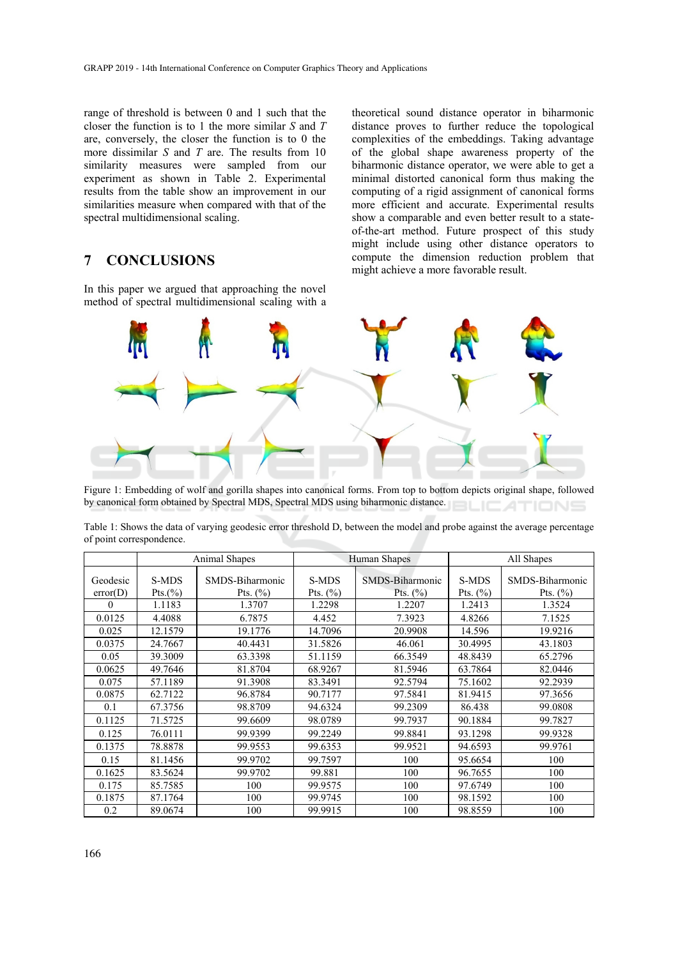range of threshold is between 0 and 1 such that the closer the function is to 1 the more similar *S* and *T*  are, conversely, the closer the function is to 0 the more dissimilar *S* and *T* are. The results from 10 similarity measures were sampled from our experiment as shown in Table 2. Experimental results from the table show an improvement in our similarities measure when compared with that of the spectral multidimensional scaling.

# **7 CONCLUSIONS**

In this paper we argued that approaching the novel method of spectral multidimensional scaling with a

theoretical sound distance operator in biharmonic distance proves to further reduce the topological complexities of the embeddings. Taking advantage of the global shape awareness property of the biharmonic distance operator, we were able to get a minimal distorted canonical form thus making the computing of a rigid assignment of canonical forms more efficient and accurate. Experimental results show a comparable and even better result to a stateof-the-art method. Future prospect of this study might include using other distance operators to compute the dimension reduction problem that might achieve a more favorable result.



Figure 1: Embedding of wolf and gorilla shapes into canonical forms. From top to bottom depicts original shape, followed by canonical form obtained by Spectral MDS, Spectral MDS using biharmonic distance. ATIONS

|                      | Animal Shapes    |                                 | Human Shapes          |                                 | All Shapes            |                                 |  |
|----------------------|------------------|---------------------------------|-----------------------|---------------------------------|-----------------------|---------------------------------|--|
| Geodesic<br>error(D) | S-MDS<br>Pts.(%) | SMDS-Biharmonic<br>Pts. $(\% )$ | S-MDS<br>Pts. $(\% )$ | SMDS-Biharmonic<br>Pts. $(\% )$ | S-MDS<br>Pts. $(\% )$ | SMDS-Biharmonic<br>Pts. $(\% )$ |  |
| $\Omega$             | 1.1183           | 1.3707                          | 1.2298                | 1.2207                          | 1.2413                | 1.3524                          |  |
| 0.0125               | 4.4088           | 6.7875                          | 4.452                 | 7.3923                          | 4.8266                | 7.1525                          |  |
| 0.025                | 12.1579          | 19.1776                         | 14.7096               | 20.9908                         | 14.596                | 19.9216                         |  |
| 0.0375               | 24.7667          | 40.4431                         | 31.5826               | 46.061                          | 30.4995               | 43.1803                         |  |
| 0.05                 | 39.3009          | 63.3398                         | 51.1159               | 66.3549                         | 48.8439               | 65.2796                         |  |
| 0.0625               | 49.7646          | 81.8704                         | 68.9267               | 81.5946                         | 63.7864               | 82.0446                         |  |
| 0.075                | 57.1189          | 91.3908                         | 83.3491               | 92.5794                         | 75.1602               | 92.2939                         |  |
| 0.0875               | 62.7122          | 96.8784                         | 90.7177               | 97.5841                         | 81.9415               | 97.3656                         |  |
| 0.1                  | 67.3756          | 98.8709                         | 94.6324               | 99.2309                         | 86.438                | 99.0808                         |  |
| 0.1125               | 71.5725          | 99.6609                         | 98.0789               | 99.7937                         | 90.1884               | 99.7827                         |  |
| 0.125                | 76.0111          | 99.9399                         | 99.2249               | 99.8841                         | 93.1298               | 99.9328                         |  |
| 0.1375               | 78.8878          | 99.9553                         | 99.6353               | 99.9521                         | 94.6593               | 99.9761                         |  |
| 0.15                 | 81.1456          | 99.9702                         | 99.7597               | 100                             | 95.6654               | 100                             |  |
| 0.1625               | 83.5624          | 99.9702                         | 99.881                | 100                             | 96.7655               | 100                             |  |
| 0.175                | 85.7585          | 100                             | 99.9575               | 100                             | 97.6749               | 100                             |  |
| 0.1875               | 87.1764          | 100                             | 99.9745               | 100                             | 98.1592               | 100                             |  |
| 0.2                  | 89.0674          | 100                             | 99.9915               | 100                             | 98.8559               | 100                             |  |

Table 1: Shows the data of varying geodesic error threshold D, between the model and probe against the average percentage of point correspondence.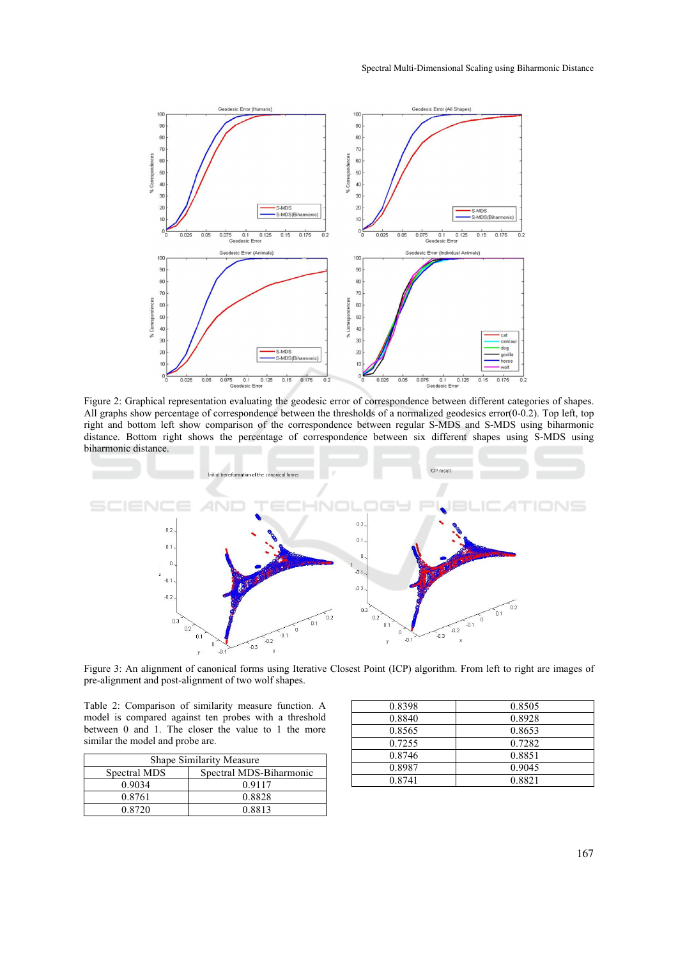

Figure 2: Graphical representation evaluating the geodesic error of correspondence between different categories of shapes. All graphs show percentage of correspondence between the thresholds of a normalized geodesics error(0-0.2). Top left, top right and bottom left show comparison of the correspondence between regular S-MDS and S-MDS using biharmonic distance. Bottom right shows the percentage of correspondence between six different shapes using S-MDS using biharmonic distance.



Figure 3: An alignment of canonical forms using Iterative Closest Point (ICP) algorithm. From left to right are images of pre-alignment and post-alignment of two wolf shapes.

Table 2: Comparison of similarity measure function. A model is compared against ten probes with a threshold between 0 and 1. The closer the value to 1 the more similar the model and probe are.

| Shape Similarity Measure |                         |  |  |  |
|--------------------------|-------------------------|--|--|--|
| Spectral MDS             | Spectral MDS-Biharmonic |  |  |  |
| 0.9034                   | 0.9117                  |  |  |  |
| 0.8761                   | 0.8828                  |  |  |  |
| 0.8720                   | 0.8813                  |  |  |  |

| 0.8505 |
|--------|
| 0.8928 |
| 0.8653 |
| 0.7282 |
| 0.8851 |
| 0.9045 |
| 0.8821 |
|        |